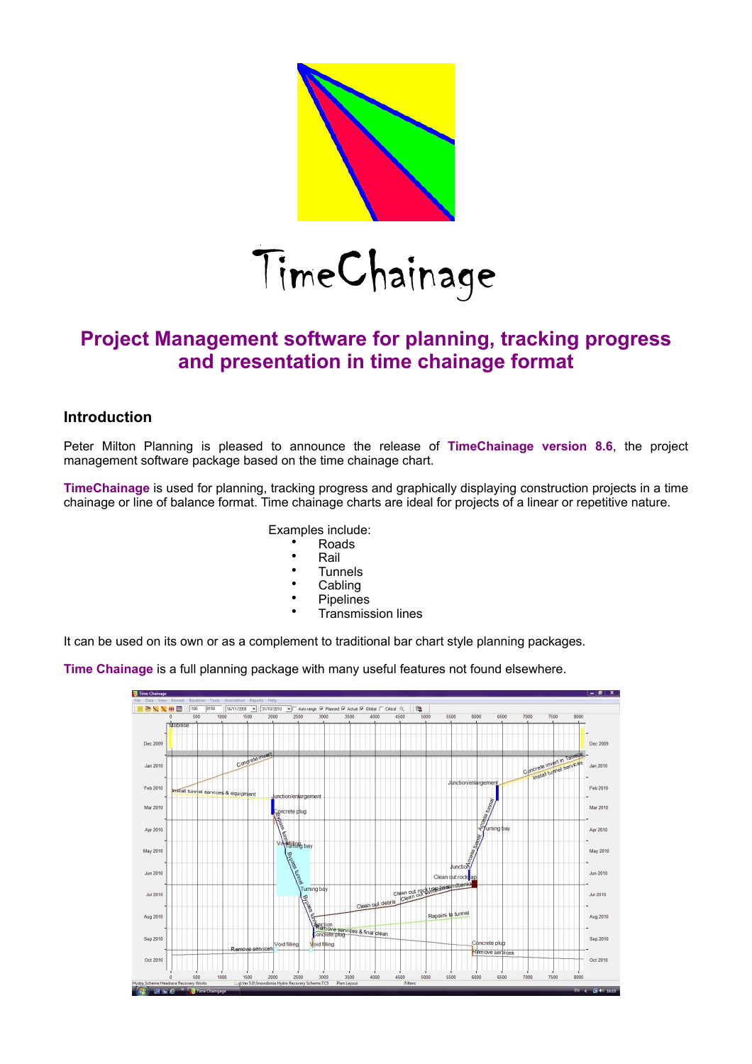

# **Project Management software for planning, tracking progress and presentation in time chainage format**

#### **Introduction**

Peter Milton Planning is pleased to announce the release of **TimeChainage version 8.6**, the project management software package based on the time chainage chart.

**TimeChainage** is used for planning, tracking progress and graphically displaying construction projects in a time chainage or line of balance format. Time chainage charts are ideal for projects of a linear or repetitive nature.

Examples include:

- Roads
- Rail
- **Tunnels**
- **Cabling**
- **Pipelines**
- Transmission lines

It can be used on its own or as a complement to traditional bar chart style planning packages.

**Time Chainage** is a full planning package with many useful features not found elsewhere.

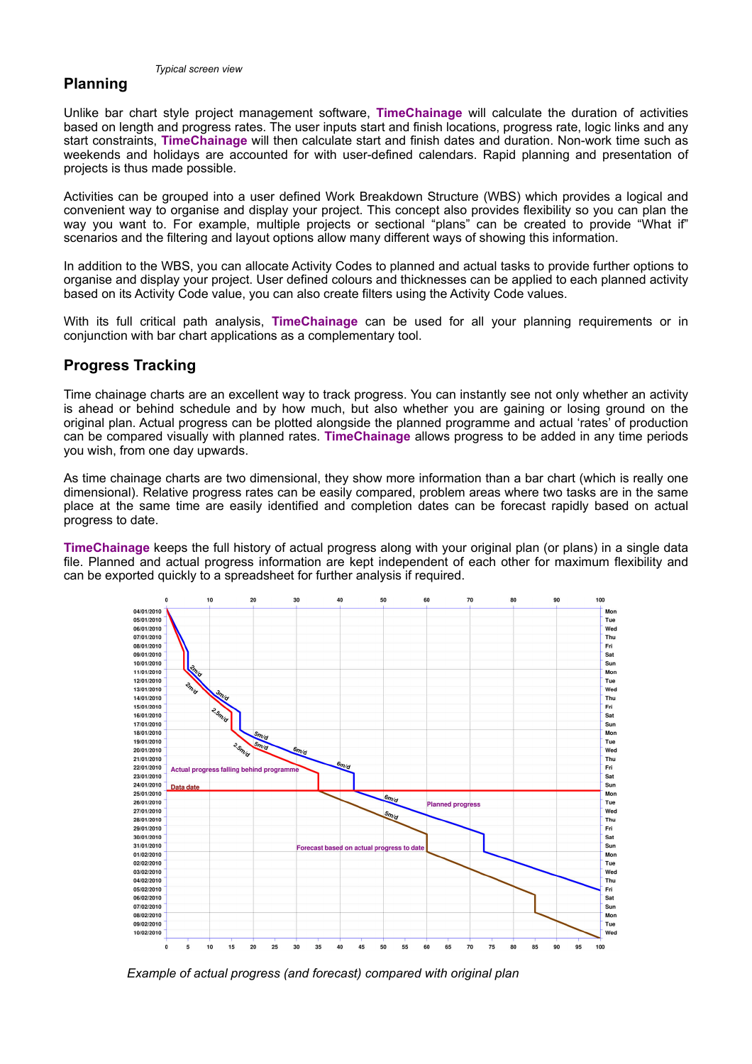## **Planning**

*Typical screen view*

Unlike bar chart style project management software, **TimeChainage** will calculate the duration of activities based on length and progress rates. The user inputs start and finish locations, progress rate, logic links and any start constraints, **TimeChainage** will then calculate start and finish dates and duration. Non-work time such as weekends and holidays are accounted for with user-defined calendars. Rapid planning and presentation of projects is thus made possible.

Activities can be grouped into a user defined Work Breakdown Structure (WBS) which provides a logical and convenient way to organise and display your project. This concept also provides flexibility so you can plan the way you want to. For example, multiple projects or sectional "plans" can be created to provide "What if" scenarios and the filtering and layout options allow many different ways of showing this information.

In addition to the WBS, you can allocate Activity Codes to planned and actual tasks to provide further options to organise and display your project. User defined colours and thicknesses can be applied to each planned activity based on its Activity Code value, you can also create filters using the Activity Code values.

With its full critical path analysis, **TimeChainage** can be used for all your planning requirements or in conjunction with bar chart applications as a complementary tool.

#### **Progress Tracking**

Time chainage charts are an excellent way to track progress. You can instantly see not only whether an activity is ahead or behind schedule and by how much, but also whether you are gaining or losing ground on the original plan. Actual progress can be plotted alongside the planned programme and actual 'rates' of production can be compared visually with planned rates. **TimeChainage** allows progress to be added in any time periods you wish, from one day upwards.

As time chainage charts are two dimensional, they show more information than a bar chart (which is really one dimensional). Relative progress rates can be easily compared, problem areas where two tasks are in the same place at the same time are easily identified and completion dates can be forecast rapidly based on actual progress to date.

**TimeChainage** keeps the full history of actual progress along with your original plan (or plans) in a single data file. Planned and actual progress information are kept independent of each other for maximum flexibility and can be exported quickly to a spreadsheet for further analysis if required.



*Example of actual progress (and forecast) compared with original plan*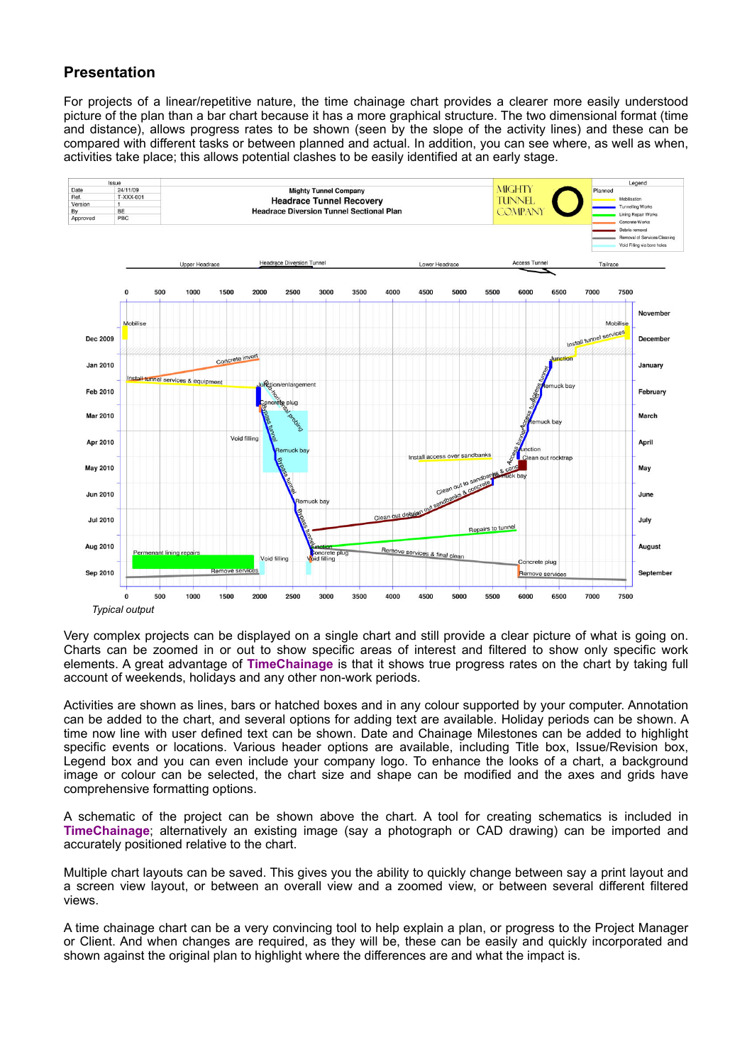### **Presentation**

For projects of a linear/repetitive nature, the time chainage chart provides a clearer more easily understood picture of the plan than a bar chart because it has a more graphical structure. The two dimensional format (time and distance), allows progress rates to be shown (seen by the slope of the activity lines) and these can be compared with different tasks or between planned and actual. In addition, you can see where, as well as when, activities take place; this allows potential clashes to be easily identified at an early stage.



Very complex projects can be displayed on a single chart and still provide a clear picture of what is going on. Charts can be zoomed in or out to show specific areas of interest and filtered to show only specific work elements. A great advantage of **TimeChainage** is that it shows true progress rates on the chart by taking full account of weekends, holidays and any other non-work periods.

Activities are shown as lines, bars or hatched boxes and in any colour supported by your computer. Annotation can be added to the chart, and several options for adding text are available. Holiday periods can be shown. A time now line with user defined text can be shown. Date and Chainage Milestones can be added to highlight specific events or locations. Various header options are available, including Title box, Issue/Revision box, Legend box and you can even include your company logo. To enhance the looks of a chart, a background image or colour can be selected, the chart size and shape can be modified and the axes and grids have comprehensive formatting options.

A schematic of the project can be shown above the chart. A tool for creating schematics is included in **TimeChainage**; alternatively an existing image (say a photograph or CAD drawing) can be imported and accurately positioned relative to the chart.

Multiple chart layouts can be saved. This gives you the ability to quickly change between say a print layout and a screen view layout, or between an overall view and a zoomed view, or between several different filtered views.

A time chainage chart can be a very convincing tool to help explain a plan, or progress to the Project Manager or Client. And when changes are required, as they will be, these can be easily and quickly incorporated and shown against the original plan to highlight where the differences are and what the impact is.